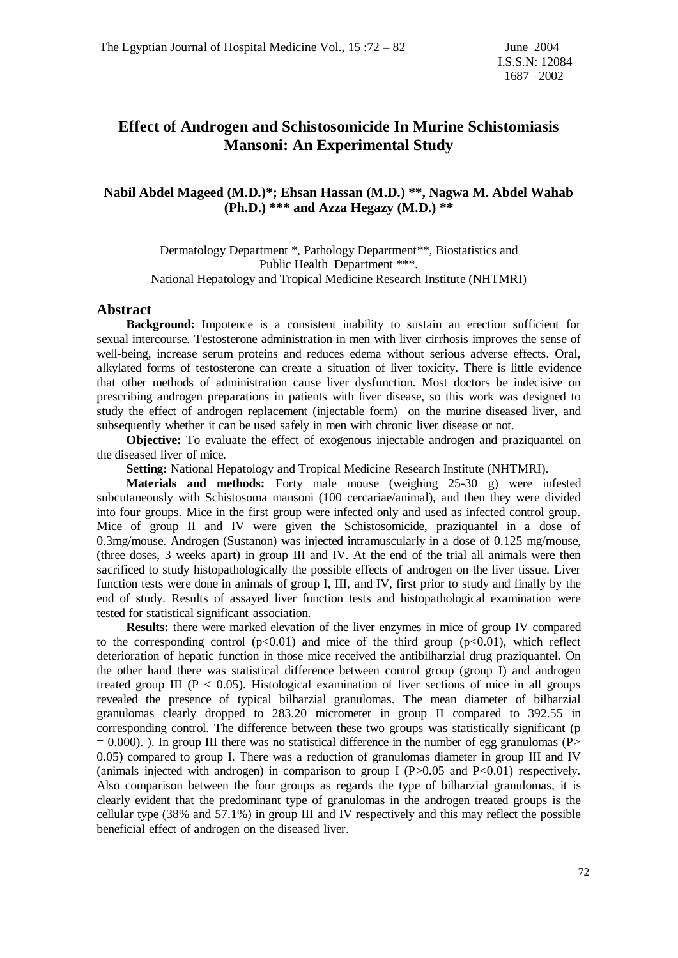### **Effect of Androgen and Schistosomicide In Murine Schistomiasis Mansoni: An Experimental Study**

### **Nabil Abdel Mageed (M.D.)\*; Ehsan Hassan (M.D.) \*\*, Nagwa M. Abdel Wahab (Ph.D.) \*\*\* and Azza Hegazy (M.D.) \*\***

Dermatology Department \*, Pathology Department \*\*, Biostatistics and Public Health Department \*\*\*. National Hepatology and Tropical Medicine Research Institute (NHTMRI)

#### **Abstract**

 **Background:** Impotence is a consistent inability to sustain an erection sufficient for sexual intercourse. Testosterone administration in men with liver cirrhosis improves the sense of well-being, increase serum proteins and reduces edema without serious adverse effects. Oral, alkylated forms of testosterone can create a situation of liver toxicity. There is little evidence that other methods of administration cause liver dysfunction. Most doctors be indecisive on prescribing androgen preparations in patients with liver disease, so this work was designed to study the effect of androgen replacement (injectable form) on the murine diseased liver, and subsequently whether it can be used safely in men with chronic liver disease or not.

 **Objective:** To evaluate the effect of exogenous injectable androgen and praziquantel on the diseased liver of mice.

 **Setting:** National Hepatology and Tropical Medicine Research Institute (NHTMRI).

 **Materials and methods:** Forty male mouse (weighing 25-30 g) were infested subcutaneously with Schistosoma mansoni (100 cercariae/animal), and then they were divided into four groups. Mice in the first group were infected only and used as infected control group. Mice of group II and IV were given the Schistosomicide, praziquantel in a dose of 0.3mg/mouse. Androgen (Sustanon) was injected intramuscularly in a dose of 0.125 mg/mouse, (three doses, 3 weeks apart) in group III and IV. At the end of the trial all animals were then sacrificed to study histopathologically the possible effects of androgen on the liver tissue. Liver function tests were done in animals of group I, III, and IV, first prior to study and finally by the end of study. Results of assayed liver function tests and histopathological examination were tested for statistical significant association.

 **Results:** there were marked elevation of the liver enzymes in mice of group IV compared to the corresponding control  $(p<0.01)$  and mice of the third group  $(p<0.01)$ , which reflect deterioration of hepatic function in those mice received the antibilharzial drug praziquantel. On the other hand there was statistical difference between control group (group I) and androgen treated group III ( $P < 0.05$ ). Histological examination of liver sections of mice in all groups revealed the presence of typical bilharzial granulomas. The mean diameter of bilharzial granulomas clearly dropped to 283.20 micrometer in group II compared to 392.55 in corresponding control. The difference between these two groups was statistically significant (p  $= 0.000$ ). ). In group III there was no statistical difference in the number of egg granulomas (P 0.05) compared to group I. There was a reduction of granulomas diameter in group III and IV (animals injected with androgen) in comparison to group I  $(P>0.05$  and  $P<0.01$ ) respectively. Also comparison between the four groups as regards the type of bilharzial granulomas, it is clearly evident that the predominant type of granulomas in the androgen treated groups is the cellular type (38% and 57.1%) in group III and IV respectively and this may reflect the possible beneficial effect of androgen on the diseased liver.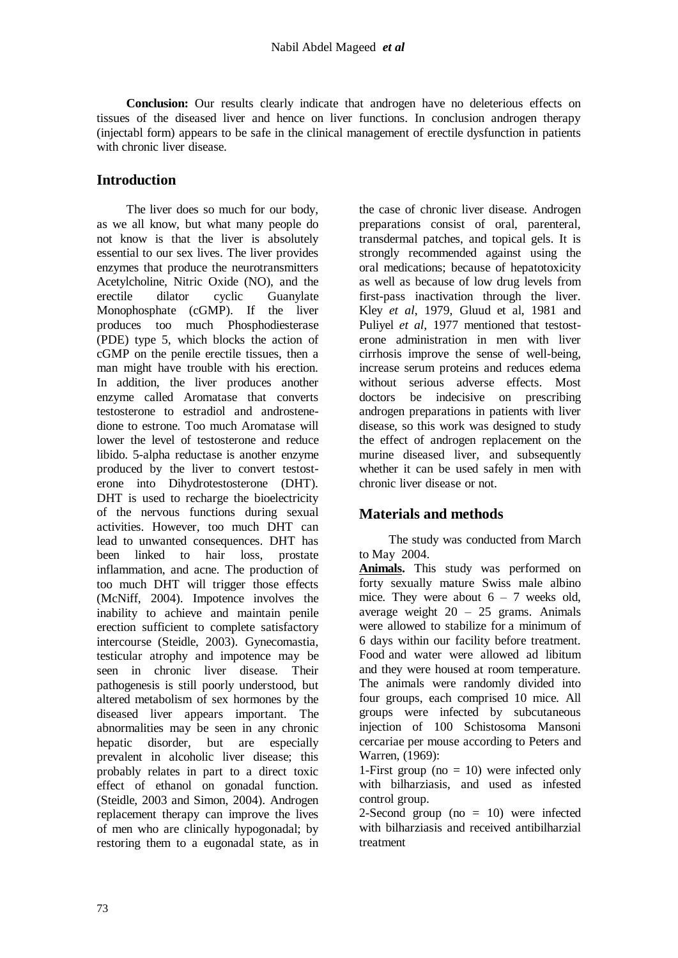**Conclusion:** Our results clearly indicate that androgen have no deleterious effects on tissues of the diseased liver and hence on liver functions. In conclusion androgen therapy (injectabl form) appears to be safe in the clinical management of erectile dysfunction in patients with chronic liver disease

### **Introduction**

 The liver does so much for our body, as we all know, but what many people do not know is that the liver is absolutely essential to our sex lives. The liver provides enzymes that produce the neurotransmitters Acetylcholine, Nitric Oxide (NO), and the erectile dilator cyclic Guanylate Monophosphate (cGMP). If the liver produces too much Phosphodiesterase (PDE) type 5, which blocks the action of cGMP on the penile erectile tissues, then a man might have trouble with his erection. In addition, the liver produces another enzyme called Aromatase that converts testosterone to estradiol and androstenedione to estrone. Too much Aromatase will lower the level of testosterone and reduce libido. 5-alpha reductase is another enzyme produced by the liver to convert testosterone into Dihydrotestosterone (DHT). DHT is used to recharge the bioelectricity of the nervous functions during sexual activities. However, too much DHT can lead to unwanted consequences. DHT has been linked to hair loss, prostate inflammation, and acne. The production of too much DHT will trigger those effects (McNiff, 2004). Impotence involves the inability to achieve and maintain penile erection sufficient to complete satisfactory intercourse (Steidle, 2003). Gynecomastia, testicular atrophy and impotence may be seen in chronic liver disease. Their pathogenesis is still poorly understood, but altered metabolism of sex hormones by the diseased liver appears important. The abnormalities may be seen in any chronic<br>hepatic disorder, but are especially hepatic disorder, but are prevalent in alcoholic liver disease; this probably relates in part to a direct toxic effect of ethanol on gonadal function. (Steidle, 2003 and Simon, 2004). Androgen replacement therapy can improve the lives of men who are clinically hypogonadal; by restoring them to a eugonadal state, as in

the case of chronic liver disease. Androgen preparations consist of oral, parenteral, transdermal patches, and topical gels. It is strongly recommended against using the oral medications; because of hepatotoxicity as well as because of low drug levels from first-pass inactivation through the liver. Kley *et al*, 1979, Gluud et al, 1981 and Puliyel *et al,* 1977 mentioned that testosterone administration in men with liver cirrhosis improve the sense of well-being, increase serum proteins and reduces edema without serious adverse effects. Most doctors be indecisive on prescribing androgen preparations in patients with liver disease, so this work was designed to study the effect of androgen replacement on the murine diseased liver, and subsequently whether it can be used safely in men with chronic liver disease or not.

# **Materials and methods**

 The study was conducted from March to May 2004.

**Animals.** This study was performed on forty sexually mature Swiss male albino mice. They were about  $6 - 7$  weeks old, average weight  $20 - 25$  grams. Animals were allowed to stabilize for a minimum of 6 days within our facility before treatment. Food and water were allowed ad libitum and they were housed at room temperature. The animals were randomly divided into four groups, each comprised 10 mice. All groups were infected by subcutaneous injection of 100 Schistosoma Mansoni cercariae per mouse according to Peters and Warren, (1969):

1-First group ( $no = 10$ ) were infected only with bilharziasis, and used as infested control group.

2-Second group ( $no = 10$ ) were infected with bilharziasis and received antibilharzial treatment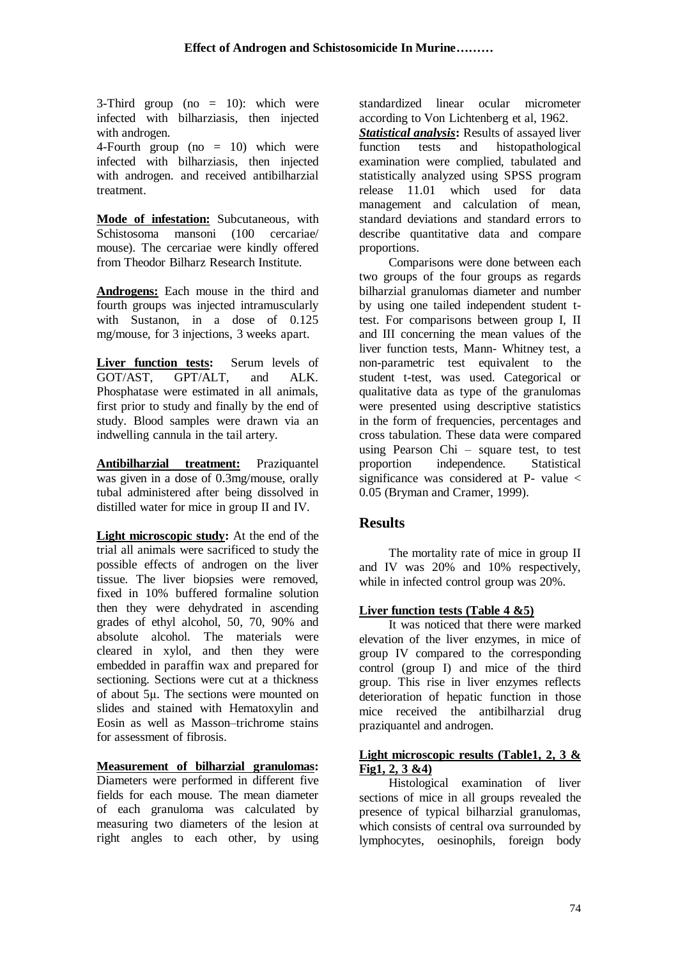3-Third group (no  $= 10$ ): which were infected with bilharziasis, then injected with androgen.

4-Fourth group ( $no = 10$ ) which were infected with bilharziasis, then injected with androgen. and received antibilharzial treatment.

**Mode of infestation:** Subcutaneous*,* with Schistosoma mansoni (100 cercariae/ mouse). The cercariae were kindly offered from Theodor Bilharz Research Institute.

**Androgens:** Each mouse in the third and fourth groups was injected intramuscularly with Sustanon, in a dose of 0.125 mg/mouse, for 3 injections, 3 weeks apart.

**Liver function tests:** Serum levels of GOT/AST, GPT/ALT, and ALK. Phosphatase were estimated in all animals, first prior to study and finally by the end of study. Blood samples were drawn via an indwelling cannula in the tail artery.

**Antibilharzial treatment:** Praziquantel was given in a dose of 0.3mg/mouse, orally tubal administered after being dissolved in distilled water for mice in group II and IV.

**Light microscopic study:** At the end of the trial all animals were sacrificed to study the possible effects of androgen on the liver tissue. The liver biopsies were removed, fixed in 10% buffered formaline solution then they were dehydrated in ascending grades of ethyl alcohol, 50, 70, 90% and absolute alcohol. The materials were cleared in xylol, and then they were embedded in paraffin wax and prepared for sectioning. Sections were cut at a thickness of about 5μ. The sections were mounted on slides and stained with Hematoxylin and Eosin as well as Masson–trichrome stains for assessment of fibrosis.

**Measurement of bilharzial granulomas:** 

Diameters were performed in different five fields for each mouse. The mean diameter of each granuloma was calculated by measuring two diameters of the lesion at right angles to each other, by using standardized linear ocular micrometer according to Von Lichtenberg et al, 1962.

*Statistical analysis***:** Results of assayed liver function tests and histopathological examination were complied, tabulated and statistically analyzed using SPSS program release 11.01 which used for data management and calculation of mean, standard deviations and standard errors to describe quantitative data and compare proportions.

 Comparisons were done between each two groups of the four groups as regards bilharzial granulomas diameter and number by using one tailed independent student ttest. For comparisons between group I, II and III concerning the mean values of the liver function tests, Mann- Whitney test, a non-parametric test equivalent to the student t-test, was used. Categorical or qualitative data as type of the granulomas were presented using descriptive statistics in the form of frequencies, percentages and cross tabulation. These data were compared using Pearson Chi – square test, to test proportion independence. Statistical significance was considered at P- value  $\lt$ 0.05 (Bryman and Cramer, 1999).

### **Results**

 The mortality rate of mice in group II and IV was 20% and 10% respectively, while in infected control group was 20%.

### **Liver function tests (Table 4 &5)**

 It was noticed that there were marked elevation of the liver enzymes, in mice of group IV compared to the corresponding control (group I) and mice of the third group. This rise in liver enzymes reflects deterioration of hepatic function in those mice received the antibilharzial drug praziquantel and androgen.

### **Light microscopic results (Table1, 2, 3 & Fig1, 2, 3 &4)**

 Histological examination of liver sections of mice in all groups revealed the presence of typical bilharzial granulomas, which consists of central ova surrounded by lymphocytes, oesinophils, foreign body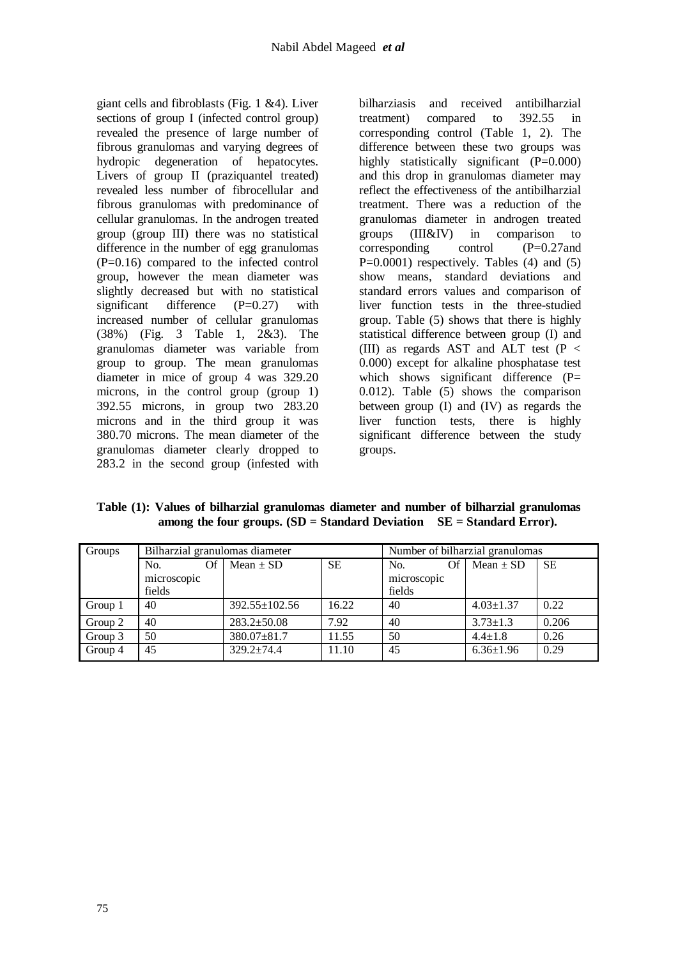giant cells and fibroblasts (Fig. 1 &4). Liver sections of group I (infected control group) revealed the presence of large number of fibrous granulomas and varying degrees of hydropic degeneration of hepatocytes. Livers of group II (praziquantel treated) revealed less number of fibrocellular and fibrous granulomas with predominance of cellular granulomas. In the androgen treated group (group III) there was no statistical difference in the number of egg granulomas (P=0.16) compared to the infected control group, however the mean diameter was slightly decreased but with no statistical significant difference  $(P=0.27)$  with increased number of cellular granulomas (38%) (Fig. 3 Table 1, 2&3). The granulomas diameter was variable from group to group. The mean granulomas diameter in mice of group 4 was 329.20 microns, in the control group (group 1) 392.55 microns, in group two 283.20 microns and in the third group it was 380.70 microns. The mean diameter of the granulomas diameter clearly dropped to 283.2 in the second group (infested with

bilharziasis and received antibilharzial treatment) compared to 392.55 in corresponding control (Table 1, 2). The difference between these two groups was highly statistically significant (P=0.000) and this drop in granulomas diameter may reflect the effectiveness of the antibilharzial treatment. There was a reduction of the granulomas diameter in androgen treated groups (III&IV) in comparison to corresponding control (P=0.27and  $P=0.0001$ ) respectively. Tables (4) and (5) show means, standard deviations and standard errors values and comparison of liver function tests in the three-studied group. Table (5) shows that there is highly statistical difference between group (I) and (III) as regards AST and ALT test ( $P <$ 0.000) except for alkaline phosphatase test which shows significant difference  $(P=$ 0.012). Table (5) shows the comparison between group (I) and (IV) as regards the liver function tests, there is highly significant difference between the study groups.

**Table (1): Values of bilharzial granulomas diameter and number of bilharzial granulomas among the four groups. (SD = Standard Deviation SE = Standard Error).**

| Groups  | Bilharzial granulomas diameter |                     | Number of bilharzial granulomas |             |                 |           |  |  |
|---------|--------------------------------|---------------------|---------------------------------|-------------|-----------------|-----------|--|--|
|         | No.<br>Of                      | Mean $\pm$ SD       | <b>SE</b>                       | Of<br>No.   | Mean $\pm$ SD   | <b>SE</b> |  |  |
|         | microscopic                    |                     |                                 | microscopic |                 |           |  |  |
|         | fields                         |                     |                                 | fields      |                 |           |  |  |
| Group 1 | 40                             | $392.55 \pm 102.56$ | 16.22                           | 40          | $4.03 \pm 1.37$ | 0.22      |  |  |
| Group 2 | 40                             | $283.2 \pm 50.08$   | 7.92                            | 40          | $3.73 \pm 1.3$  | 0.206     |  |  |
| Group 3 | 50                             | 380.07±81.7         | 11.55                           | 50          | $4.4 \pm 1.8$   | 0.26      |  |  |
| Group 4 | 45                             | $329.2 + 74.4$      | 11.10                           | 45          | $6.36 \pm 1.96$ | 0.29      |  |  |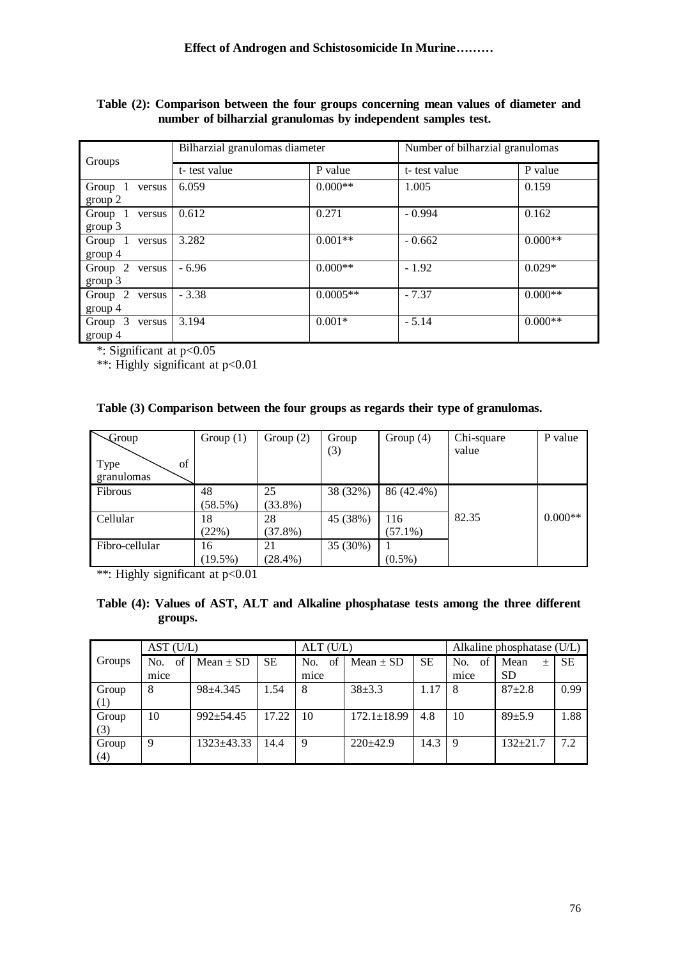| Table (2): Comparison between the four groups concerning mean values of diameter and |  |  |  |
|--------------------------------------------------------------------------------------|--|--|--|
| number of bilharzial granulomas by independent samples test.                         |  |  |  |

| Groups                       | Bilharzial granulomas diameter |            | Number of bilharzial granulomas |           |  |
|------------------------------|--------------------------------|------------|---------------------------------|-----------|--|
|                              | t-test value                   | P value    | t-test value                    | P value   |  |
| Group 1<br>versus<br>group 2 | 6.059                          | $0.000**$  | 1.005                           | 0.159     |  |
| Group 1<br>versus<br>group 3 | 0.612                          | 0.271      | $-0.994$                        | 0.162     |  |
| Group 1<br>versus<br>group 4 | 3.282                          | $0.001**$  | $-0.662$                        | $0.000**$ |  |
| Group 2<br>versus<br>group 3 | $-6.96$                        | $0.000**$  | $-1.92$                         | $0.029*$  |  |
| Group 2<br>versus<br>group 4 | $-3.38$                        | $0.0005**$ | $-7.37$                         | $0.000**$ |  |
| Group 3<br>versus<br>group 4 | 3.194                          | $0.001*$   | $-5.14$                         | $0.000**$ |  |

\*: Significant at p<0.05

\*\*: Highly significant at p<0.01

### **Table (3) Comparison between the four groups as regards their type of granulomas.**

| $-$ Group                | Group $(1)$ | Group $(2)$ | Group    | Group $(4)$ | Chi-square | P value   |
|--------------------------|-------------|-------------|----------|-------------|------------|-----------|
| of<br>Type<br>granulomas |             |             | (3)      |             | value      |           |
|                          |             |             |          |             |            |           |
| Fibrous                  | 48          | 25          | 38 (32%) | 86 (42.4%)  |            |           |
|                          | $(58.5\%)$  | $(33.8\%)$  |          |             |            |           |
| Cellular                 | 18          | 28          | 45 (38%) | 116         | 82.35      | $0.000**$ |
|                          | (22%)       | $(37.8\%)$  |          | $(57.1\%)$  |            |           |
| Fibro-cellular           | 16          | 21          | 35 (30%) |             |            |           |
|                          | $(19.5\%)$  | $(28.4\%)$  |          | $(0.5\%)$   |            |           |

\*\*: Highly significant at p<0.01

### **Table (4): Values of AST, ALT and Alkaline phosphatase tests among the three different groups.**

|        | AST (U/L) |               |           | $ALT$ (U/L) |                   |           | Alkaline phosphatase (U/L) |                |           |
|--------|-----------|---------------|-----------|-------------|-------------------|-----------|----------------------------|----------------|-----------|
| Groups | of<br>No. | Mean $\pm$ SD | <b>SE</b> | of<br>No.   | Mean $\pm$ SD     | <b>SE</b> | No.<br>of                  | Mean<br>$\pm$  | <b>SE</b> |
|        | mice      |               |           | mice        |                   |           | mice                       | <b>SD</b>      |           |
| Group  | 8         | $98 + 4.345$  | 1.54      | 8           | $38 + 3.3$        | 1.17      | 8                          | $87 + 2.8$     | 0.99      |
| (1)    |           |               |           |             |                   |           |                            |                |           |
| Group  | 10        | $992 + 54.45$ | 17.22     | 10          | $172.1 \pm 18.99$ | 4.8       | 10                         | $89 + 5.9$     | 1.88      |
| (3)    |           |               |           |             |                   |           |                            |                |           |
| Group  | 9         | 1323±43.33    | 14.4      | 9           | $220+42.9$        | 14.3      | 9                          | $132 \pm 21.7$ | 7.2       |
| (4)    |           |               |           |             |                   |           |                            |                |           |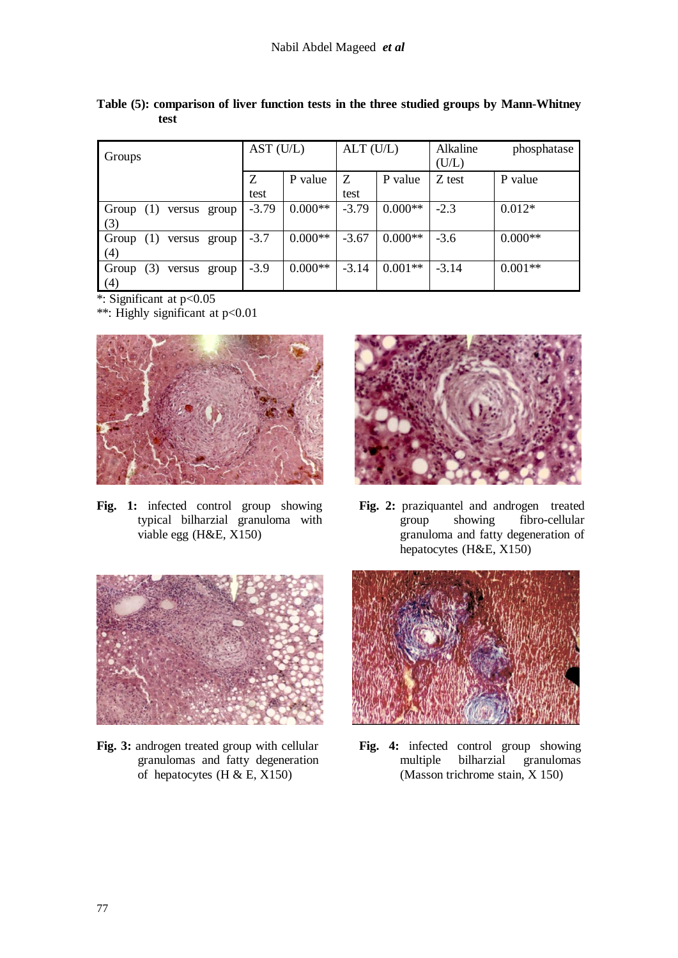| Groups                              | AST (U/L) |           | $ALT$ (U/L) |           | Alkaline<br>phosphatase<br>(U/L) |           |
|-------------------------------------|-----------|-----------|-------------|-----------|----------------------------------|-----------|
|                                     | Ζ<br>test | P value   | Ζ<br>test   | P value   | Z test                           | P value   |
| Group<br>versus group<br>(1)<br>(3) | $-3.79$   | $0.000**$ | $-3.79$     | $0.000**$ | $-2.3$                           | $0.012*$  |
| Group<br>(1)<br>versus group<br>(4) | $-3.7$    | $0.000**$ | $-3.67$     | $0.000**$ | $-3.6$                           | $0.000**$ |
| (3)<br>Group<br>versus group<br>(4) | $-3.9$    | $0.000**$ | $-3.14$     | $0.001**$ | $-3.14$                          | $0.001**$ |

**Table (5): comparison of liver function tests in the three studied groups by Mann-Whitney test**

\*: Significant at p<0.05

\*\*: Highly significant at p<0.01



**Fig. 1:** infected control group showing typical bilharzial granuloma with viable egg (H&E, X150)



**Fig. 2:** praziquantel and androgen treated group showing fibro-cellular granuloma and fatty degeneration of hepatocytes (H&E, X150)



**Fig. 3:** androgen treated group with cellular granulomas and fatty degeneration of hepatocytes (H  $&$  E, X150)



**Fig. 4:** infected control group showing multiple bilharzial granulomas (Masson trichrome stain, X 150)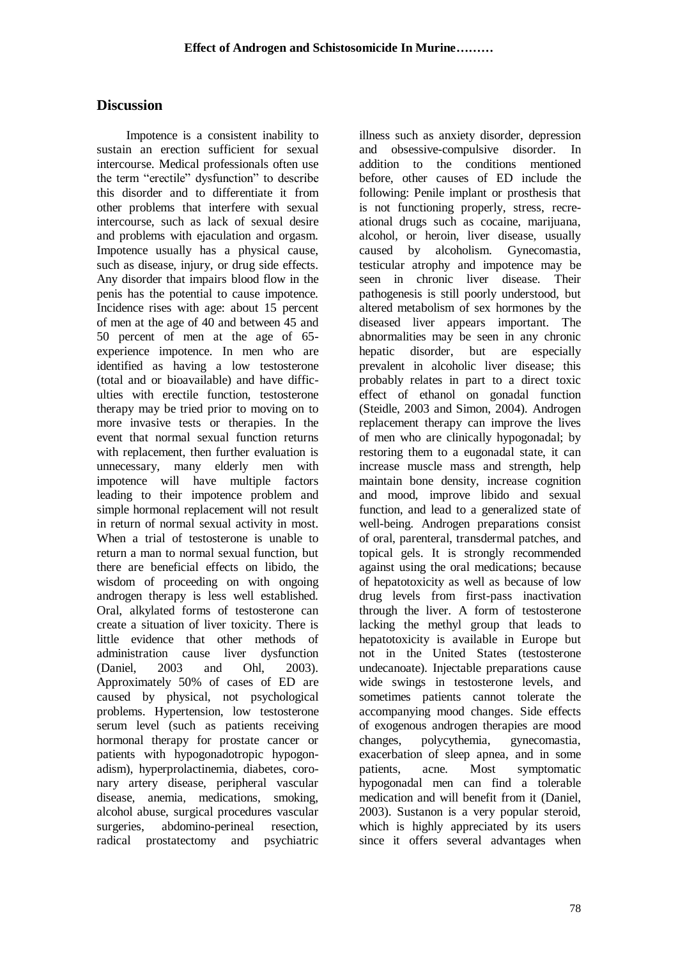### **Discussion**

 Impotence is a consistent inability to sustain an erection sufficient for sexual intercourse. Medical professionals often use the term "erectile" dysfunction" to describe this disorder and to differentiate it from other problems that interfere with sexual intercourse, such as lack of sexual desire and problems with ejaculation and orgasm. Impotence usually has a physical cause, such as disease, injury, or drug side effects. Any disorder that impairs blood flow in the penis has the potential to cause impotence. Incidence rises with age: about 15 percent of men at the age of 40 and between 45 and 50 percent of men at the age of 65 experience impotence. In men who are identified as having a low testosterone (total and or bioavailable) and have difficulties with erectile function, testosterone therapy may be tried prior to moving on to more invasive tests or therapies. In the event that normal sexual function returns with replacement, then further evaluation is unnecessary, many elderly men with impotence will have multiple factors leading to their impotence problem and simple hormonal replacement will not result in return of normal sexual activity in most. When a trial of testosterone is unable to return a man to normal sexual function, but there are beneficial effects on libido, the wisdom of proceeding on with ongoing androgen therapy is less well established. Oral, alkylated forms of testosterone can create a situation of liver toxicity. There is little evidence that other methods of administration cause liver dysfunction (Daniel, 2003 and Ohl, 2003). Approximately 50% of cases of ED are caused by physical, not psychological problems. Hypertension, low testosterone serum level (such as patients receiving hormonal therapy for prostate cancer or patients with hypogonadotropic hypogonadism), hyperprolactinemia, diabetes, coronary artery disease, peripheral vascular disease, anemia, medications, smoking, alcohol abuse, surgical procedures vascular surgeries, abdomino-perineal resection, radical prostatectomy and psychiatric

illness such as anxiety disorder, depression and obsessive-compulsive disorder. In addition to the conditions mentioned before, other causes of ED include the following: Penile implant or prosthesis that is not functioning properly, stress, recreational drugs such as cocaine, marijuana, alcohol, or heroin, liver disease, usually caused by alcoholism. Gynecomastia, testicular atrophy and impotence may be seen in chronic liver disease. Their pathogenesis is still poorly understood, but altered metabolism of sex hormones by the diseased liver appears important. The abnormalities may be seen in any chronic hepatic disorder, but are especially prevalent in alcoholic liver disease; this probably relates in part to a direct toxic effect of ethanol on gonadal function (Steidle, 2003 and Simon, 2004). Androgen replacement therapy can improve the lives of men who are clinically hypogonadal; by restoring them to a eugonadal state, it can increase muscle mass and strength, help maintain bone density, increase cognition and mood, improve libido and sexual function, and lead to a generalized state of well-being. Androgen preparations consist of oral, parenteral, transdermal patches, and topical gels. It is strongly recommended against using the oral medications; because of hepatotoxicity as well as because of low drug levels from first-pass inactivation through the liver. A form of testosterone lacking the methyl group that leads to hepatotoxicity is available in Europe but not in the United States (testosterone undecanoate). Injectable preparations cause wide swings in testosterone levels, and sometimes patients cannot tolerate the accompanying mood changes. Side effects of exogenous androgen therapies are mood changes, polycythemia, gynecomastia, exacerbation of sleep apnea, and in some patients, acne. Most symptomatic hypogonadal men can find a tolerable medication and will benefit from it (Daniel, 2003). Sustanon is a very popular steroid, which is highly appreciated by its users since it offers several advantages when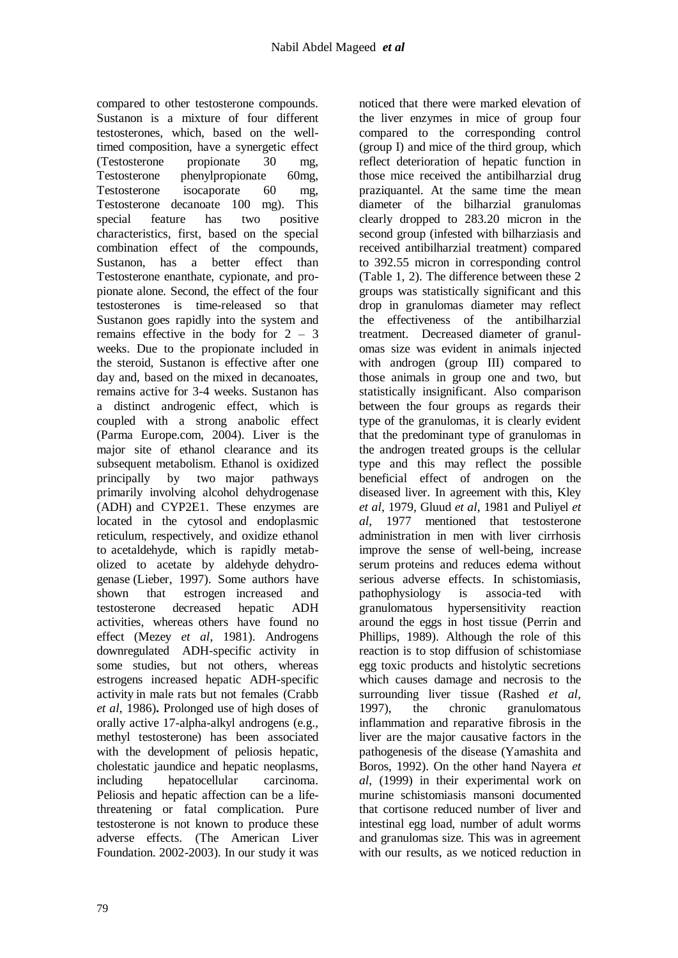compared to other testosterone compounds. Sustanon is a mixture of four different testosterones, which, based on the welltimed composition, have a synergetic effect (Testosterone propionate 30 mg, Testosterone phenylpropionate 60mg, Testosterone isocaporate 60 mg, Testosterone decanoate 100 mg). This special feature has two positive characteristics, first, based on the special combination effect of the compounds, Sustanon, has a better effect than Testosterone enanthate, cypionate, and propionate alone. Second, the effect of the four testosterones is time-released so that Sustanon goes rapidly into the system and remains effective in the body for  $2 - 3$ weeks. Due to the propionate included in the steroid, Sustanon is effective after one day and, based on the mixed in decanoates, remains active for 3-4 weeks. Sustanon has a distinct androgenic effect, which is coupled with a strong anabolic effect (Parma Europe.com, 2004). Liver is the major site of ethanol clearance and its subsequent metabolism. Ethanol is oxidized principally by two major pathways primarily involving alcohol dehydrogenase (ADH) and CYP2E1. These enzymes are located in the cytosol and endoplasmic reticulum, respectively, and oxidize ethanol to acetaldehyde, which is rapidly metabolized to acetate by aldehyde dehydrogenase (Lieber, 1997). Some authors have shown that estrogen increased and testosterone decreased hepatic ADH activities, whereas others have found no effect (Mezey *et al*, 1981). Androgens downregulated ADH-specific activity in some studies, but not others, whereas estrogens increased hepatic ADH-specific activity in male rats but not females (Crabb *et al*, 1986)**.** Prolonged use of high doses of orally active 17-alpha-alkyl androgens (e.g., methyl testosterone) has been associated with the development of peliosis hepatic, cholestatic jaundice and hepatic neoplasms, including hepatocellular carcinoma. Peliosis and hepatic affection can be a lifethreatening or fatal complication. Pure testosterone is not known to produce these adverse effects. (The American Liver Foundation. 2002-2003). In our study it was noticed that there were marked elevation of the liver enzymes in mice of group four compared to the corresponding control (group I) and mice of the third group, which reflect deterioration of hepatic function in those mice received the antibilharzial drug praziquantel. At the same time the mean diameter of the bilharzial granulomas clearly dropped to 283.20 micron in the second group (infested with bilharziasis and received antibilharzial treatment) compared to 392.55 micron in corresponding control (Table 1, 2). The difference between these 2 groups was statistically significant and this drop in granulomas diameter may reflect the effectiveness of the antibilharzial treatment. Decreased diameter of granulomas size was evident in animals injected with androgen (group III) compared to those animals in group one and two, but statistically insignificant. Also comparison between the four groups as regards their type of the granulomas, it is clearly evident that the predominant type of granulomas in the androgen treated groups is the cellular type and this may reflect the possible beneficial effect of androgen on the diseased liver. In agreement with this, Kley *et al*, 1979, Gluud *et al*, 1981 and Puliyel *et al*, 1977 mentioned that testosterone administration in men with liver cirrhosis improve the sense of well-being, increase serum proteins and reduces edema without serious adverse effects. In schistomiasis, pathophysiology is associa-ted with granulomatous hypersensitivity reaction around the eggs in host tissue (Perrin and Phillips, 1989). Although the role of this reaction is to stop diffusion of schistomiase egg toxic products and histolytic secretions which causes damage and necrosis to the surrounding liver tissue (Rashed *et al*, 1997), the chronic granulomatous inflammation and reparative fibrosis in the liver are the major causative factors in the pathogenesis of the disease (Yamashita and Boros, 1992). On the other hand Nayera *et al*, (1999) in their experimental work on murine schistomiasis mansoni documented that cortisone reduced number of liver and intestinal egg load, number of adult worms and granulomas size. This was in agreement with our results, as we noticed reduction in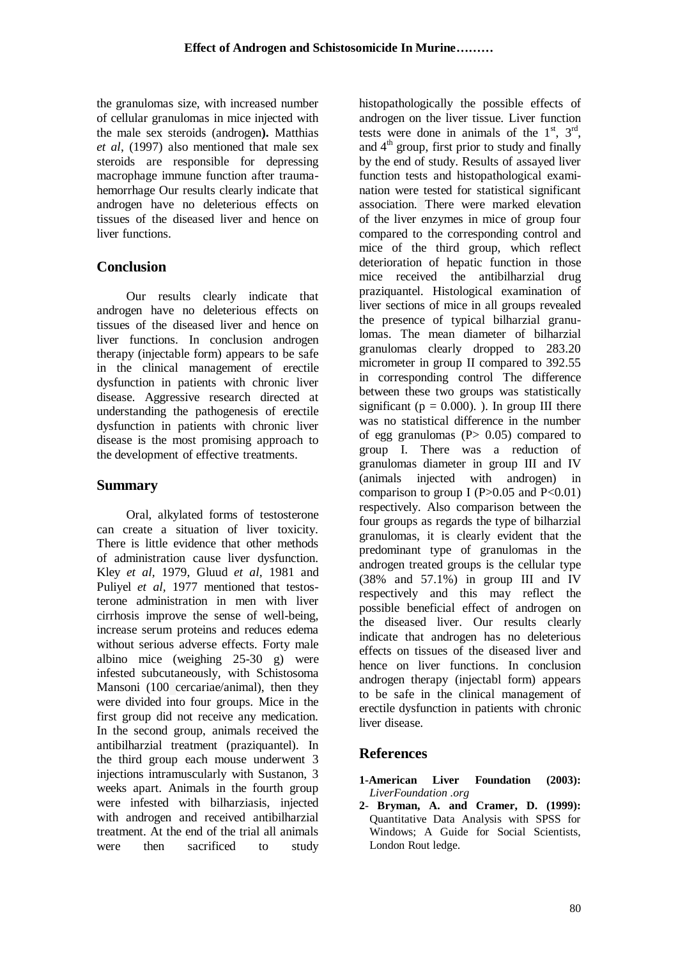the granulomas size, with increased number of cellular granulomas in mice injected with the male sex steroids (androgen**).** Matthias *et al*, (1997) also mentioned that male sex steroids are responsible for depressing macrophage immune function after traumahemorrhage Our results clearly indicate that androgen have no deleterious effects on tissues of the diseased liver and hence on liver functions.

## **Conclusion**

 Our results clearly indicate that androgen have no deleterious effects on tissues of the diseased liver and hence on liver functions. In conclusion androgen therapy (injectable form) appears to be safe in the clinical management of erectile dysfunction in patients with chronic liver disease. Aggressive research directed at understanding the pathogenesis of erectile dysfunction in patients with chronic liver disease is the most promising approach to the development of effective treatments.

### **Summary**

 Oral, alkylated forms of testosterone can create a situation of liver toxicity. There is little evidence that other methods of administration cause liver dysfunction. Kley *et al,* 1979, Gluud *et al,* 1981 and Puliyel *et al,* 1977 mentioned that testosterone administration in men with liver cirrhosis improve the sense of well-being, increase serum proteins and reduces edema without serious adverse effects. Forty male albino mice (weighing 25-30 g) were infested subcutaneously*,* with Schistosoma Mansoni (100 cercariae/animal), then they were divided into four groups. Mice in the first group did not receive any medication. In the second group, animals received the antibilharzial treatment (praziquantel). In the third group each mouse underwent 3 injections intramuscularly with Sustanon, 3 weeks apart. Animals in the fourth group were infested with bilharziasis, injected with androgen and received antibilharzial treatment. At the end of the trial all animals were then sacrificed to study

histopathologically the possible effects of androgen on the liver tissue. Liver function tests were done in animals of the  $1<sup>st</sup>$ ,  $3<sup>rd</sup>$ , and  $4<sup>th</sup>$  group, first prior to study and finally by the end of study. Results of assayed liver function tests and histopathological examination were tested for statistical significant association. There were marked elevation of the liver enzymes in mice of group four compared to the corresponding control and mice of the third group, which reflect deterioration of hepatic function in those mice received the antibilharzial drug praziquantel. Histological examination of liver sections of mice in all groups revealed the presence of typical bilharzial granulomas. The mean diameter of bilharzial granulomas clearly dropped to 283.20 micrometer in group II compared to 392.55 in corresponding control The difference between these two groups was statistically significant ( $p = 0.000$ ). ). In group III there was no statistical difference in the number of egg granulomas  $(P> 0.05)$  compared to group I. There was a reduction of granulomas diameter in group III and IV (animals injected with androgen) in comparison to group I (P $> 0.05$  and P $< 0.01$ ) respectively. Also comparison between the four groups as regards the type of bilharzial granulomas, it is clearly evident that the predominant type of granulomas in the androgen treated groups is the cellular type (38% and 57.1%) in group III and IV respectively and this may reflect the possible beneficial effect of androgen on the diseased liver. Our results clearly indicate that androgen has no deleterious effects on tissues of the diseased liver and hence on liver functions. In conclusion androgen therapy (injectabl form) appears to be safe in the clinical management of erectile dysfunction in patients with chronic liver disease.

## **References**

- **1-American Liver Foundation (2003):**  *LiverFoundation .org*
- **2 Bryman, A. and Cramer, D. (1999):**  Quantitative Data Analysis with SPSS for Windows; A Guide for Social Scientists, London Rout ledge.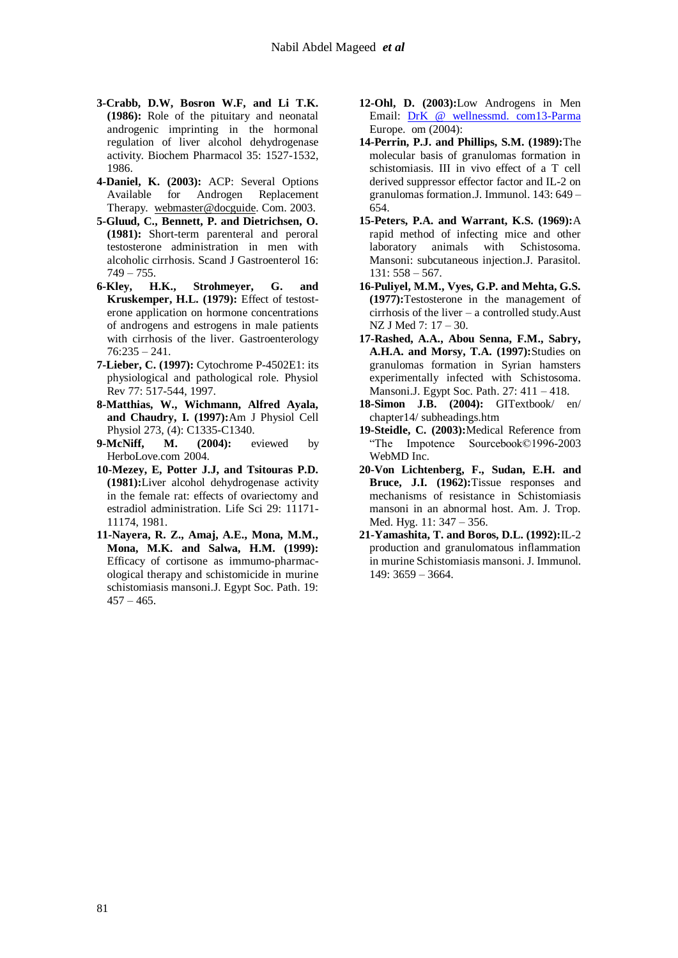- **3-Crabb, D.W, Bosron W.F, and Li T.K. (1986):** Role of the pituitary and neonatal androgenic imprinting in the hormonal regulation of liver alcohol dehydrogenase activity. Biochem Pharmacol 35: 1527-1532, 1986.
- **4-Daniel, K. (2003):** ACP: Several Options Available for Androgen Replacement Therapy. [webmaster@docguide.](mailto:webmaster@docguide) Com. 2003.
- **5-Gluud, C., Bennett, P. and Dietrichsen, O. (1981):** Short-term parenteral and peroral testosterone administration in men with alcoholic cirrhosis. Scand J Gastroenterol 16:  $749 - 755.$
- **6-Kley, H.K., Strohmeyer, G. and Kruskemper, H.L. (1979):** Effect of testosterone application on hormone concentrations of androgens and estrogens in male patients with cirrhosis of the liver. Gastroenterology 76:235 – 241.
- **7-Lieber, C. (1997):** Cytochrome P-4502E1: its physiological and pathological role. Physiol Rev 77: 517-544, 1997.
- **8-Matthias, W., Wichmann, Alfred Ayala, and Chaudry, I. (1997):**Am J Physiol Cell Physiol 273, (4): C1335-C1340.
- **9-McNiff, M. (2004):** eviewed by HerboLove.com 2004.
- **10-Mezey, E, Potter J.J, and Tsitouras P.D. (1981):**Liver alcohol dehydrogenase activity in the female rat: effects of ovariectomy and estradiol administration. Life Sci 29: 11171- 11174, 1981.
- **11-Nayera, R. Z., Amaj, A.E., Mona, M.M., Mona, M.K. and Salwa, H.M. (1999):**  Efficacy of cortisone as immumo-pharmacological therapy and schistomicide in murine schistomiasis mansoni.J. Egypt Soc. Path. 19:  $457 - 465$ .
- **12-Ohl, D. (2003):**Low Androgens in Men Email: [DrK @ wellnessmd. com13-Parma](mailto:DrK@wellnessmd.com13-Parma) Europe. om (2004):
- **14-Perrin, P.J. and Phillips, S.M. (1989):**The molecular basis of granulomas formation in schistomiasis. III in vivo effect of a T cell derived suppressor effector factor and IL-2 on granulomas formation.J. Immunol. 143: 649 – 654.
- **15-Peters, P.A. and Warrant, K.S. (1969):**A rapid method of infecting mice and other laboratory animals with Schistosoma. Mansoni: subcutaneous injection.J. Parasitol. 131: 558 – 567.
- **16-Puliyel, M.M., Vyes, G.P. and Mehta, G.S. (1977):**Testosterone in the management of cirrhosis of the liver – a controlled study.Aust NZ J Med 7: 17 – 30.
- **17-Rashed, A.A., Abou Senna, F.M., Sabry, A.H.A. and Morsy, T.A. (1997):**Studies on granulomas formation in Syrian hamsters experimentally infected with Schistosoma. Mansoni.J. Egypt Soc. Path. 27: 411 – 418.
- **18-Simon J.B. (2004):** GITextbook/ en/ chapter14/ subheadings.htm
- **19-Steidle, C. (2003):**Medical Reference from "The Impotence Sourcebook©1996-2003 WebMD Inc.
- **20-Von Lichtenberg, F., Sudan, E.H. and Bruce, J.I. (1962):**Tissue responses and mechanisms of resistance in Schistomiasis mansoni in an abnormal host. Am. J. Trop. Med. Hyg. 11: 347 – 356.
- **21-Yamashita, T. and Boros, D.L. (1992):**IL-2 production and granulomatous inflammation in murine Schistomiasis mansoni. J. Immunol. 149: 3659 – 3664.